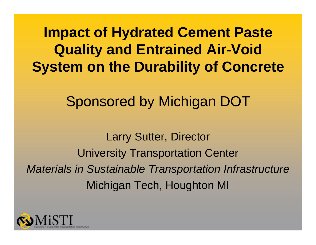**Impact of Hydrated Cement Paste Quality and Entrained Air-Void System on the Durability of Concrete**

Sponsored by Michigan DOT

Larry Sutter, Director University Transportation Center *Materials in Sustainable Transportation Infrastructure* Michigan Tech, Houghton MI

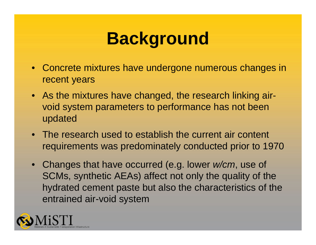#### **Background**

- Concrete mixtures have undergone numerous changes in recent years
- As the mixtures have changed, the research linking airvoid system parameters to performance has not been updated
- The research used to establish the current air content requirements was predominately conducted prior to 1970
- Changes that have occurred (e.g. lower *w/cm*, use of SCMs, synthetic AEAs) affect not only the quality of the hydrated cement paste but also the characteristics of the entrained air-void system

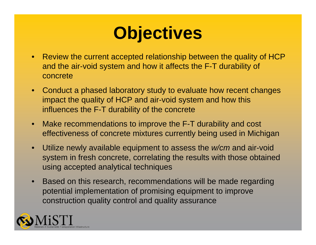#### **Objectives**

- Review the current accepted relationship between the quality of HCP and the air-void system and how it affects the F-T durability of concrete
- Conduct a phased laboratory study to evaluate how recent changes impact the quality of HCP and air-void system and how this influences the F-T durability of the concrete
- • Make recommendations to improve the F-T durability and cost effectiveness of concrete mixtures currently being used in Michigan
- • Utilize newly available equipment to assess the *w/cm* and air-void system in fresh concrete, correlating the results with those obtained using accepted analytical techniques
- • Based on this research, recommendations will be made regarding potential implementation of promising equipment to improve construction quality control and quality assurance

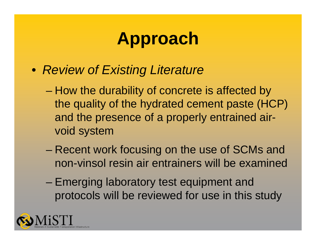- *Review of Existing Literature*
	- and the state of the state How the durability of concrete is affected by the quality of the hydrated cement paste (HCP) and the presence of a properly entrained airvoid system
	- – Recent work focusing on the use of SCMs and non-vinsol resin air entrainers will be examined
	- Emerging laboratory test equipment and protocols will be reviewed for use in this study

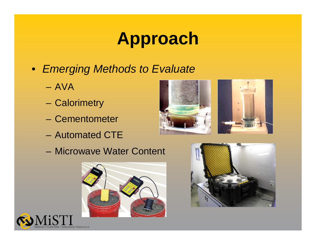- *Emerging Methods to Evaluate*
	- AVA
	- **Calorimetry**
	- Cementometer
	- Automated CTE



– Microwave Water Content





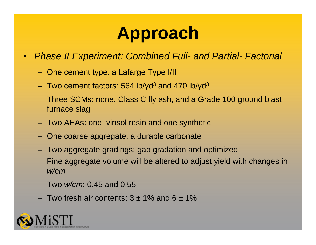- $\bullet$  *Phase II Experiment: Combined Full- and Partial- Factorial*
	- One cement type: a Lafarge Type I/II
	- Two cement factors: 564 lb/yd $^3$  and 470 lb/yd $^3$
	- Three SCMs: none, Class C fly ash, and a Grade 100 ground blast furnace slag
	- Two AEAs: one vinsol resin and one synthetic
	- One coarse aggregate: a durable carbonate
	- Two aggregate gradings: gap gradation and optimized
	- Fine aggregate volume will be altered to adjust yield with changes in *w/cm*
	- Two *w/cm*: 0.45 and 0.55
	- $-$  Two fresh air contents: 3  $\pm$  1% and 6  $\pm$  1%

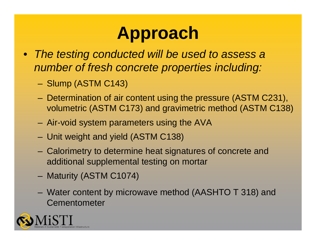- *The testing conducted will be used to assess a number of fresh concrete properties including:*
	- –Slump (ASTM C143)
	- – Determination of air content using the pressure (ASTM C231), volumetric (ASTM C173) and gravimetric method (ASTM C138)
	- –Air-void system parameters using the AVA
	- –Unit weight and yield (ASTM C138)
	- – Calorimetry to determine heat signatures of concrete and additional supplemental testing on mortar
	- –Maturity (ASTM C1074)
	- – Water content by microwave method (AASHTO T 318) and Cementometer

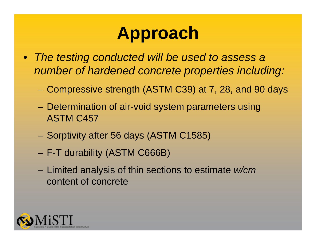- *The testing conducted will be used to assess a number of hardened concrete properties including:*
	- Compressive strength (ASTM C39) at 7, 28, and 90 days
	- – Determination of air-void system parameters using ASTM C457
	- –Sorptivity after 56 days (ASTM C1585)
	- F-T durability (ASTM C666B)
	- – Limited analysis of thin sections to estimate *w/cm* content of concrete

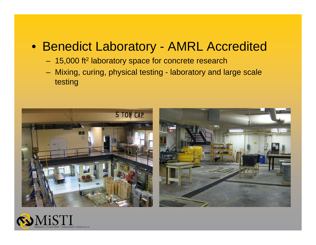#### • Benedict Laboratory - AMRL Accredited

- 15,000 ft 2 laboratory space for concrete research
- Mixing, curing, physical testing laboratory and large scale testing



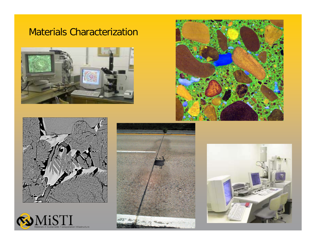#### Materials Characterization











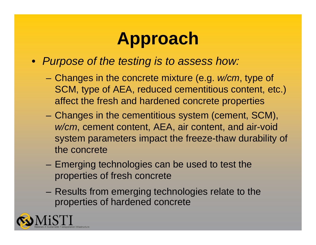- *Purpose of the testing is to assess how:*
	- – Changes in the concrete mixture (e.g. *w/cm*, type of SCM, type of AEA, reduced cementitious content, etc.) affect the fresh and hardened concrete properties
	- – Changes in the cementitious system (cement, SCM), *w/cm*, cement content, AEA, air content, and air-void system parameters impact the freeze-thaw durability of the concrete
	- – Emerging technologies can be used to test the properties of fresh concrete
	- – Results from emerging technologies relate to the properties of hardened concrete

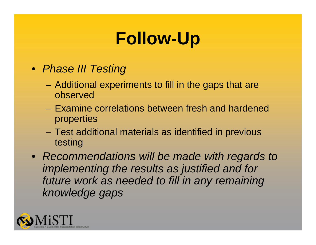# **Follow-Up**

- *Phase III Testing*
	- – Additional experiments to fill in the gaps that are observed
	- Examine correlations between fresh and hardened properties
	- Test additional materials as identified in previous testing
- *Recommendations will be made with regards to implementing the results as justified and for future work as needed to fill in any remaining knowledge gaps*